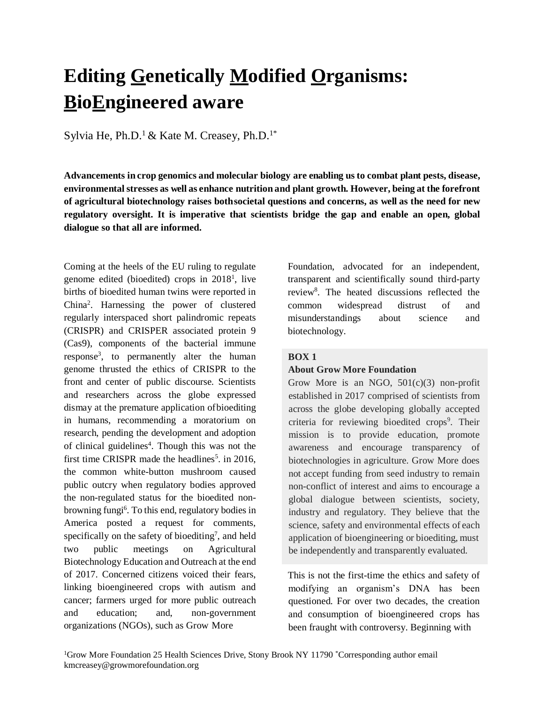# **Editing Genetically Modified Organisms: BioEngineered aware**

Sylvia He, Ph.D.<sup>1</sup> & Kate M. Creasey, Ph.D.<sup>1\*</sup>

**Advancements in crop genomics and molecular biology are enabling us to combat plant pests, disease, environmentalstresses as well as enhance nutrition and plant growth. However, being at the forefront of agricultural biotechnology raises bothsocietal questions and concerns, as well as the need for new regulatory oversight. It is imperative that scientists bridge the gap and enable an open, global dialogue so that all are informed.**

Coming at the heels of the EU ruling to regulate genome edited (bioedited) crops in  $2018<sup>1</sup>$ , live births of bioedited human twins were reported in China<sup>2</sup> . Harnessing the power of clustered regularly interspaced short palindromic repeats (CRISPR) and CRISPER associated protein 9 (Cas9), components of the bacterial immune response<sup>3</sup> , to permanently alter the human genome thrusted the ethics of CRISPR to the front and center of public discourse. Scientists and researchers across the globe expressed dismay at the premature application ofbioediting in humans, recommending a moratorium on research, pending the development and adoption of clinical guidelines<sup>4</sup>. Though this was not the first time CRISPR made the headlines<sup>5</sup>. in 2016, the common white-button mushroom caused public outcry when regulatory bodies approved the non-regulated status for the bioedited nonbrowning fungi<sup>6</sup>. To this end, regulatory bodies in America posted a request for comments, specifically on the safety of bioediting<sup>7</sup>, and held two public meetings on Agricultural Biotechnology Education and Outreach at the end of 2017. Concerned citizens voiced their fears, linking bioengineered crops with autism and cancer; farmers urged for more public outreach and education; and, non-government organizations (NGOs), such as Grow More

Foundation, advocated for an independent, transparent and scientifically sound third-party review<sup>8</sup>. The heated discussions reflected the common widespread distrust of and misunderstandings about science and biotechnology.

#### **BOX 1**

#### **About Grow More Foundation**

Grow More is an NGO,  $501(c)(3)$  non-profit established in 2017 comprised of scientists from across the globe developing globally accepted criteria for reviewing bioedited crops<sup>9</sup>. Their mission is to provide education, promote awareness and encourage transparency of biotechnologies in agriculture. Grow More does not accept funding from seed industry to remain non-conflict of interest and aims to encourage a global dialogue between scientists, society, industry and regulatory. They believe that the science, safety and environmental effects of each application of bioengineering or bioediting, must be independently and transparently evaluated.

This is not the first-time the ethics and safety of modifying an organism's DNA has been questioned. For over two decades, the creation and consumption of bioengineered crops has been fraught with controversy. Beginning with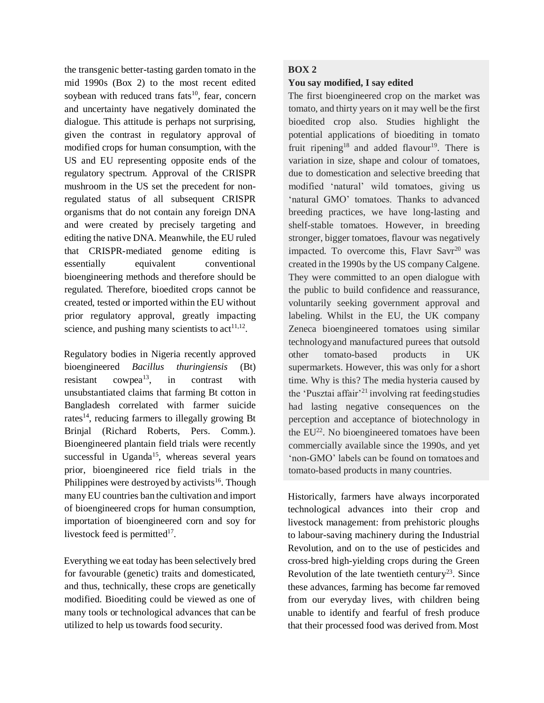the transgenic better-tasting garden tomato in the mid 1990s (Box 2) to the most recent edited soybean with reduced trans fats<sup>10</sup>, fear, concern and uncertainty have negatively dominated the dialogue. This attitude is perhaps not surprising, given the contrast in regulatory approval of modified crops for human consumption, with the US and EU representing opposite ends of the regulatory spectrum. Approval of the CRISPR mushroom in the US set the precedent for nonregulated status of all subsequent CRISPR organisms that do not contain any foreign DNA and were created by precisely targeting and editing the native DNA. Meanwhile, the EU ruled that CRISPR-mediated genome editing is essentially equivalent conventional bioengineering methods and therefore should be regulated. Therefore, bioedited crops cannot be created, tested or imported within the EU without prior regulatory approval, greatly impacting science, and pushing many scientists to  $act<sup>11,12</sup>$ .

Regulatory bodies in Nigeria recently approved bioengineered *Bacillus thuringiensis* (Bt) resistant cowpea<sup>13</sup>, in contrast with unsubstantiated claims that farming Bt cotton in Bangladesh correlated with farmer suicide rates<sup>14</sup>, reducing farmers to illegally growing Bt Brinjal (Richard Roberts, Pers. Comm.). Bioengineered plantain field trials were recently successful in Uganda<sup>15</sup>, whereas several years prior, bioengineered rice field trials in the Philippines were destroyed by activists<sup>16</sup>. Though many EU countries ban the cultivation and import of bioengineered crops for human consumption, importation of bioengineered corn and soy for livestock feed is permitted $17$ .

Everything we eat today has been selectively bred for favourable (genetic) traits and domesticated, and thus, technically, these crops are genetically modified. Bioediting could be viewed as one of many tools or technological advances that can be utilized to help us towards food security.

### **BOX 2**

### **You say modified, I say edited**

The first bioengineered crop on the market was tomato, and thirty years on it may well be the first bioedited crop also. Studies highlight the potential applications of bioediting in tomato fruit ripening<sup>18</sup> and added flavour<sup>19</sup>. There is variation in size, shape and colour of tomatoes, due to domestication and selective breeding that modified 'natural' wild tomatoes, giving us 'natural GMO' tomatoes. Thanks to advanced breeding practices, we have long-lasting and shelf-stable tomatoes. However, in breeding stronger, bigger tomatoes, flavour was negatively impacted. To overcome this, Flavr Savr $^{20}$  was created in the 1990s by the US company Calgene. They were committed to an open dialogue with the public to build confidence and reassurance, voluntarily seeking government approval and labeling. Whilst in the EU, the UK company Zeneca bioengineered tomatoes using similar technologyand manufactured purees that outsold other tomato-based products in UK supermarkets. However, this was only for a short time. Why is this? The media hysteria caused by the 'Pusztai affair'<sup>21</sup> involving rat feeding studies had lasting negative consequences on the perception and acceptance of biotechnology in the  $EU^{22}$ . No bioengineered tomatoes have been commercially available since the 1990s, and yet 'non-GMO' labels can be found on tomatoes and tomato-based products in many countries.

Historically, farmers have always incorporated technological advances into their crop and livestock management: from prehistoric ploughs to labour-saving machinery during the Industrial Revolution, and on to the use of pesticides and cross-bred high-yielding crops during the Green Revolution of the late twentieth century<sup>23</sup>. Since these advances, farming has become far removed from our everyday lives, with children being unable to identify and fearful of fresh produce that their processed food was derived from.Most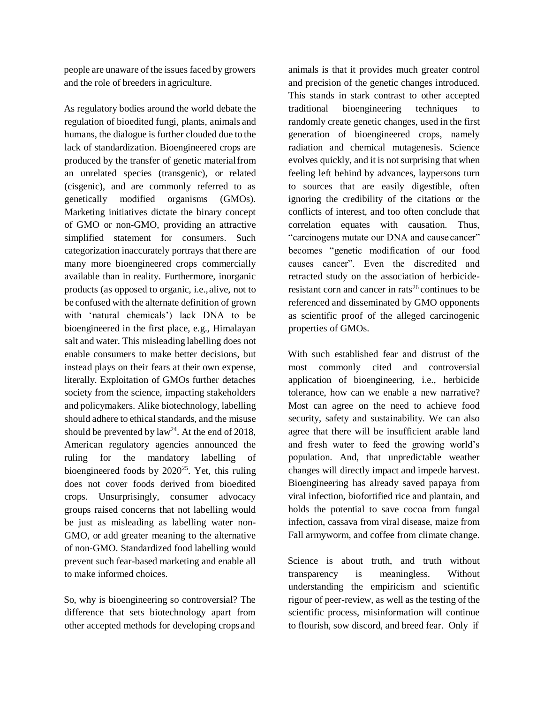people are unaware of the issues faced by growers and the role of breeders in agriculture.

As regulatory bodies around the world debate the regulation of bioedited fungi, plants, animals and humans, the dialogue is further clouded due to the lack of standardization. Bioengineered crops are produced by the transfer of genetic materialfrom an unrelated species (transgenic), or related (cisgenic), and are commonly referred to as genetically modified organisms (GMOs). Marketing initiatives dictate the binary concept of GMO or non-GMO, providing an attractive simplified statement for consumers. Such categorization inaccurately portrays that there are many more bioengineered crops commercially available than in reality. Furthermore, inorganic products (as opposed to organic, i.e.,alive, not to be confused with the alternate definition of grown with 'natural chemicals') lack DNA to be bioengineered in the first place, e.g., Himalayan salt and water. This misleading labelling does not enable consumers to make better decisions, but instead plays on their fears at their own expense, literally. Exploitation of GMOs further detaches society from the science, impacting stakeholders and policymakers. Alike biotechnology, labelling should adhere to ethical standards, and the misuse should be prevented by  $law<sup>24</sup>$ . At the end of 2018, American regulatory agencies announced the ruling for the mandatory labelling of bioengineered foods by  $2020^{25}$ . Yet, this ruling does not cover foods derived from bioedited crops. Unsurprisingly, consumer advocacy groups raised concerns that not labelling would be just as misleading as labelling water non-GMO, or add greater meaning to the alternative of non-GMO. Standardized food labelling would prevent such fear-based marketing and enable all to make informed choices.

So, why is bioengineering so controversial? The difference that sets biotechnology apart from other accepted methods for developing crops and animals is that it provides much greater control and precision of the genetic changes introduced. This stands in stark contrast to other accepted traditional bioengineering techniques to randomly create genetic changes, used in the first generation of bioengineered crops, namely radiation and chemical mutagenesis. Science evolves quickly, and it is not surprising that when feeling left behind by advances, laypersons turn to sources that are easily digestible, often ignoring the credibility of the citations or the conflicts of interest, and too often conclude that correlation equates with causation. Thus, "carcinogens mutate our DNA and cause cancer" becomes "genetic modification of our food causes cancer". Even the discredited and retracted study on the association of herbicideresistant corn and cancer in rats<sup>26</sup> continues to be referenced and disseminated by GMO opponents as scientific proof of the alleged carcinogenic properties of GMOs.

With such established fear and distrust of the most commonly cited and controversial application of bioengineering, i.e., herbicide tolerance, how can we enable a new narrative? Most can agree on the need to achieve food security, safety and sustainability. We can also agree that there will be insufficient arable land and fresh water to feed the growing world's population. And, that unpredictable weather changes will directly impact and impede harvest. Bioengineering has already saved papaya from viral infection, biofortified rice and plantain, and holds the potential to save cocoa from fungal infection, cassava from viral disease, maize from Fall armyworm, and coffee from climate change.

Science is about truth, and truth without transparency is meaningless. Without understanding the empiricism and scientific rigour of peer-review, as well as the testing of the scientific process, misinformation will continue to flourish, sow discord, and breed fear. Only if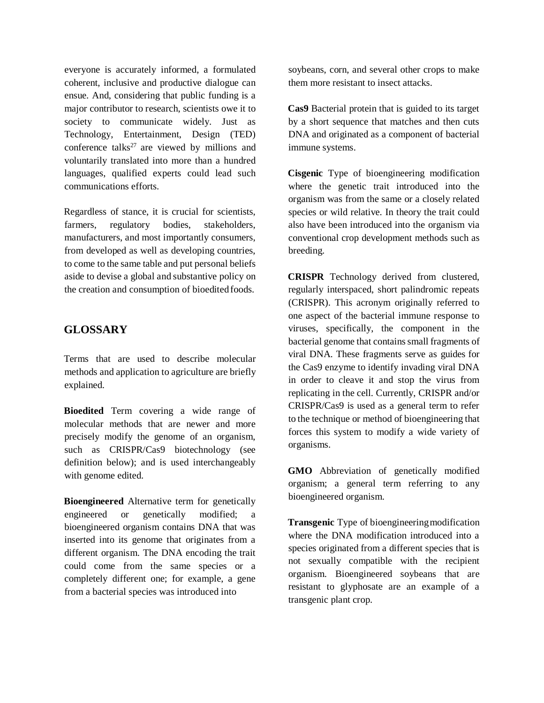everyone is accurately informed, a formulated coherent, inclusive and productive dialogue can ensue. And, considering that public funding is a major contributor to research, scientists owe it to society to communicate widely. Just as Technology, Entertainment, Design (TED) conference talks<sup>27</sup> are viewed by millions and voluntarily translated into more than a hundred languages, qualified experts could lead such communications efforts.

Regardless of stance, it is crucial for scientists, farmers, regulatory bodies, stakeholders, manufacturers, and most importantly consumers, from developed as well as developing countries, to come to the same table and put personal beliefs aside to devise a global and substantive policy on the creation and consumption of bioedited foods.

## **GLOSSARY**

Terms that are used to describe molecular methods and application to agriculture are briefly explained.

**Bioedited** Term covering a wide range of molecular methods that are newer and more precisely modify the genome of an organism, such as CRISPR/Cas9 biotechnology (see definition below); and is used interchangeably with genome edited.

**Bioengineered** Alternative term for genetically engineered or genetically modified; a bioengineered organism contains DNA that was inserted into its genome that originates from a different organism. The DNA encoding the trait could come from the same species or a completely different one; for example, a gene from a bacterial species was introduced into

soybeans, corn, and several other crops to make them more resistant to insect attacks.

**Cas9** Bacterial protein that is guided to its target by a short sequence that matches and then cuts DNA and originated as a component of bacterial immune systems.

**Cisgenic** Type of bioengineering modification where the genetic trait introduced into the organism was from the same or a closely related species or wild relative. In theory the trait could also have been introduced into the organism via conventional crop development methods such as breeding.

**CRISPR** Technology derived from clustered, regularly interspaced, short palindromic repeats (CRISPR). This acronym originally referred to one aspect of the bacterial immune response to viruses, specifically, the component in the bacterial genome that contains small fragments of viral DNA. These fragments serve as guides for the Cas9 enzyme to identify invading viral DNA in order to cleave it and stop the virus from replicating in the cell. Currently, CRISPR and/or CRISPR/Cas9 is used as a general term to refer to the technique or method of bioengineering that forces this system to modify a wide variety of organisms.

**GMO** Abbreviation of genetically modified organism; a general term referring to any bioengineered organism.

**Transgenic** Type of bioengineeringmodification where the DNA modification introduced into a species originated from a different species that is not sexually compatible with the recipient organism. Bioengineered soybeans that are resistant to glyphosate are an example of a transgenic plant crop.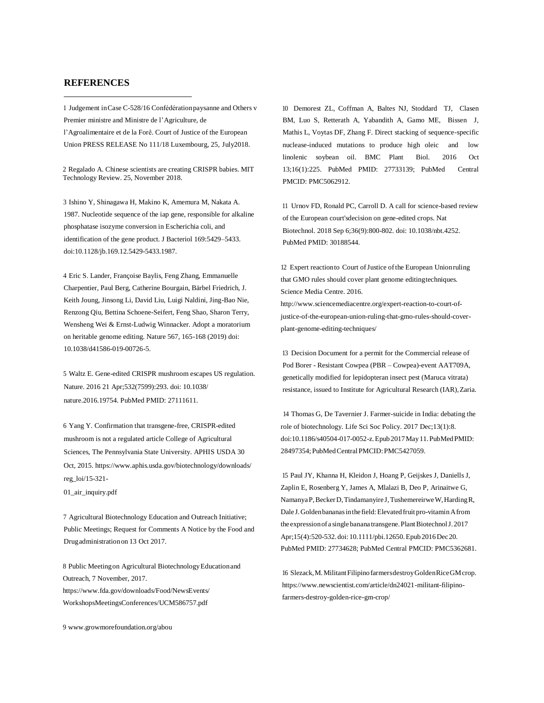#### **REFERENCES**

1 Judgement inCase C-528/16 Confédérationpaysanne and Others v Premier ministre and Ministre de l'Agriculture, de l'Agroalimentaire et de la Forê. Court of Justice of the European Union PRESS RELEASE No 111/18 Luxembourg, 25, July2018.

2 Regalado A. Chinese scientists are creating CRISPR babies. MIT Technology Review. 25, November 2018.

3 Ishino Y, Shinagawa H, Makino K, Amemura M, Nakata A. 1987. Nucleotide sequence of the iap gene, responsible for alkaline phosphatase isozyme conversion in Escherichia coli, and identification of the gene product. J Bacteriol 169:5429–5433. doi:10.1128/jb.169.12.5429-5433.1987.

4 Eric S. Lander, Françoise Baylis, Feng Zhang, Emmanuelle Charpentier, Paul Berg, Catherine Bourgain, Bärbel Friedrich, J. Keith Joung, Jinsong Li, David Liu, Luigi Naldini, Jing-Bao Nie, Renzong Qiu, Bettina Schoene-Seifert, Feng Shao, Sharon Terry, Wensheng Wei & Ernst-Ludwig Winnacker. Adopt a moratorium on heritable genome editing. Nature 567, 165-168 (2019) doi: 10.1038/d41586-019-00726-5.

5 Waltz E. Gene-edited CRISPR mushroom escapes US regulation. Nature. 2016 21 Apr;532(7599):293. doi: 10.1038/ nature.2016.19754. PubMed PMID: 27111611.

6 [Yang Y. Confirmation that tr](http://www.growmorefoundation.org/about)ansgene-free, CRISPR-edited mushroom is not a regulated article College of Agricultural Sciences, The Pennsylvania State University. APHIS USDA 30 Oct, 2015[. https://www.aphis.usda.gov/biotechnology/downloads/](http://www.aphis.usda.gov/biotechnology/downloads/) reg\_loi/15-321-

01\_air\_inquiry.pdf

7 Agricultural Biotechnology Education and Outreach Initiative; Public Meetings; Request for Comments A Notice by the Food and Drugadministrationon 13 Oct 2017.

8 Public Meetingon Agricultural BiotechnologyEducationand Outreach, 7 November, 2017. [https://www.fda.gov/downloads/Food/NewsEvents/](http://www.fda.gov/downloads/Food/NewsEvents/) WorkshopsMeetingsConferences/UCM586757.pdf

9 [www.growmorefoundation.org/abou](http://www.growmorefoundation.org/abou)

10 Demorest ZL, Coffman A, Baltes NJ, Stoddard TJ, Clasen BM, Luo S, Retterath A, Yabandith A, Gamo ME, Bissen J, Mathis L, Voytas DF, Zhang F. Direct stacking of sequence-specific nuclease-induced mutations to produce high oleic and low linolenic soybean oil. BMC Plant Biol. 2016 Oct 13;16(1):225. PubMed PMID: 27733139; PubMed Central PMCID: PMC5062912.

11 Urnov FD, Ronald PC, Carroll D. A call for science-based review of the European court'sdecision on gene-edited crops. Nat Biotechnol. 2018 Sep 6;36(9):800-802. doi: 10.1038/nbt.4252. PubMed PMID: 30188544.

12 Expert reaction to Court of Justice of the European Unionruling that GMO rules should cover plant genome editingtechniques. Science Media Centre. 2016.

[http://www.sciencemediacentre.org/expert-reaction-to-court-of](http://www.sciencemediacentre.org/expert-reaction-to-court-of-)[justice-of-the-european-union-ruling-that-gmo-rules-should-cover](https://www.aphis.usda.gov/biotechnology/downloads/reg_loi/15-321-01_air_inquiry.pdf)plant-genome-editing-techniques/

13 Decision Document for a permit for the Commercial release of Pod Borer - Resistant Cowpea (PBR – Cowpea)-event AAT709A, genetically modified for lepidopteran insect pest (Maruca vitrata) resistance, issued to Institute for Agricultural Research (IAR),Zaria.

14 Thomas G, De Tavernier J. Farmer-suicide in India: debating the role of biotechnology. Life Sci Soc Policy. 2017 Dec;13(1):8. doi:10.1186/s40504-017-0052-z.Epub 2017May11.PubMedPMID: 28497354;PubMedCentralPMCID:PMC5427059.

15 Paul JY, Khanna H, Kleidon J, Hoang P, Geijskes J, Daniells J, Zaplin E, Rosenberg Y, James A, Mlalazi B, Deo P, Arinaitwe G, NamanyaP,BeckerD,Tindamanyire J,TushemereirweW,HardingR, Dale J. Golden bananas in the field: Elevated fruit pro-vitamin A from the expression of a single banana transgene. Plant Biotechnol J. 2017 Apr;15(4):520-532.doi: 10.1111/pbi.12650.Epub 2016Dec20. PubMed PMID: 27734628; PubMed Central PMCID: PMC5362681.

16 Slezack,M.MilitantFilipino farmersdestroyGoldenRiceGMcrop. [https://www.newscientist.com/article/dn24021-militant-filipino](http://www.newscientist.com/article/dn24021-militant-filipino-)farmers-destroy-golden-rice-gm-crop/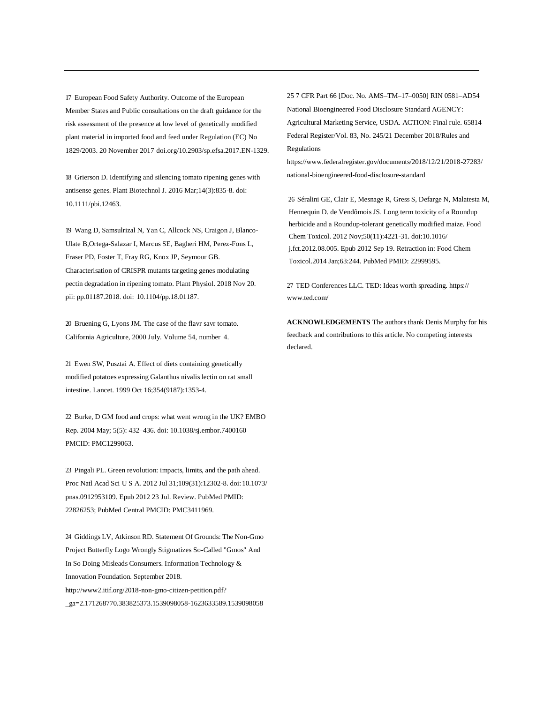17 European Food Safety Authority. Outcome of the European Member States and Public consultations on the draft guidance for the risk assessment of the presence at low level of genetically modified plant material in imported food and feed under Regulation (EC) No 1829/2003. 20 November 2017 doi.org/10.2903/sp.efsa.2017.EN-1329.

18 Grierson D. Identifying and silencing tomato ripening genes with antisense genes. Plant Biotechnol J. 2016 Mar;14(3):835-8. doi: 10.1111/pbi.12463.

19 Wang D, Samsulrizal N, Yan C, Allcock NS, Craigon J, Blanco-Ulate B,Ortega-Salazar I, Marcus SE, Bagheri HM, Perez-Fons L, Fraser PD, Foster T, Fray RG, Knox JP, Seymour GB. Characterisation of CRISPR mutants targeting genes modulating pectin degradation in ripening tomato. Plant Physiol. 2018 Nov 20. pii: pp.01187.2018. doi: 10.1104/pp.18.01187.

20 Bruening G, Lyons JM. The case of the flavr savr tomato. California Agriculture, 2000 July. Volume 54, number 4.

21 Ewen SW, Pusztai A. Effect of diets containing genetically modified potatoes expressing Galanthus nivalis lectin on rat small intestine. Lancet. 1999 Oct 16;354(9187):1353-4.

22 Burke, D GM food and crops: what went wrong in the UK? EMBO Rep. 2004 May; 5(5): 432–436. doi: 10.1038/sj.embor.7400160 PMCID: PMC1299063.

23 Pingali PL. Green revolution: impacts, limits, and the path ahead. Proc Natl Acad Sci U S A. 2012 Jul 31;109(31):12302-8. doi: 10.1073/ pnas.0912953109. Epub 2012 23 Jul. Review. PubMed PMID: 22826253; PubMed Central PMCID: PMC3411969.

24 Giddings LV, Atkinson RD. Statement Of Grounds: The Non-Gmo Project Butterfly Logo Wrongly Stigmatizes So-Called "Gmos" And In So Doing Misleads Consumers. Information Technology & Innovation Foundation. September 2018. [http://www2.itif.org/2018-non-gmo-citizen-petition.pdf?](http://www2.itif.org/2018-non-gmo-citizen-petition.pdf) \_ga=2.171268770.383825373.1539098058-1623633589.1539098058

25 7 CFR Part 66 [Doc. No. AMS–TM–17–0050] RIN 0581–AD54 National Bioengineered Food Disclosure Standard AGENCY: Agricultural Marketing Service, USDA. ACTION: Final rule. 65814 Federal Register/Vol. 83, No. 245/21 December 2018/Rules and Regulations

[https://www.federalregister.gov/documents/2018/12/21/2018-27283/](http://www.federalregister.gov/documents/2018/12/21/2018-27283/) national-bioengineered-food-disclosure-standard

26 Séralini GE, Clair E, Mesnage R, Gress S, Defarge N, Malatesta M, Hennequin D. de Vendômois JS. Long term toxicity of a Roundup herbicide and a Roundup-tolerant genetically modified maize. Food Chem Toxicol. 2012 Nov;50(11):4221-31. doi:10.1016/ j.fct.2012.08.005. Epub 2012 Sep 19. Retraction in: Food Chem Toxicol.2014 Jan;63:244. PubMed PMID: 22999595.

27 TED Conferences LLC. TED: Ideas worth spreading. https:// [www.ted.com/](http://www.ted.com/)

**ACKNOWLEDGEMENTS** The authors thank Denis Murphy for his feedback and contributions to this article. No competing interests declared.